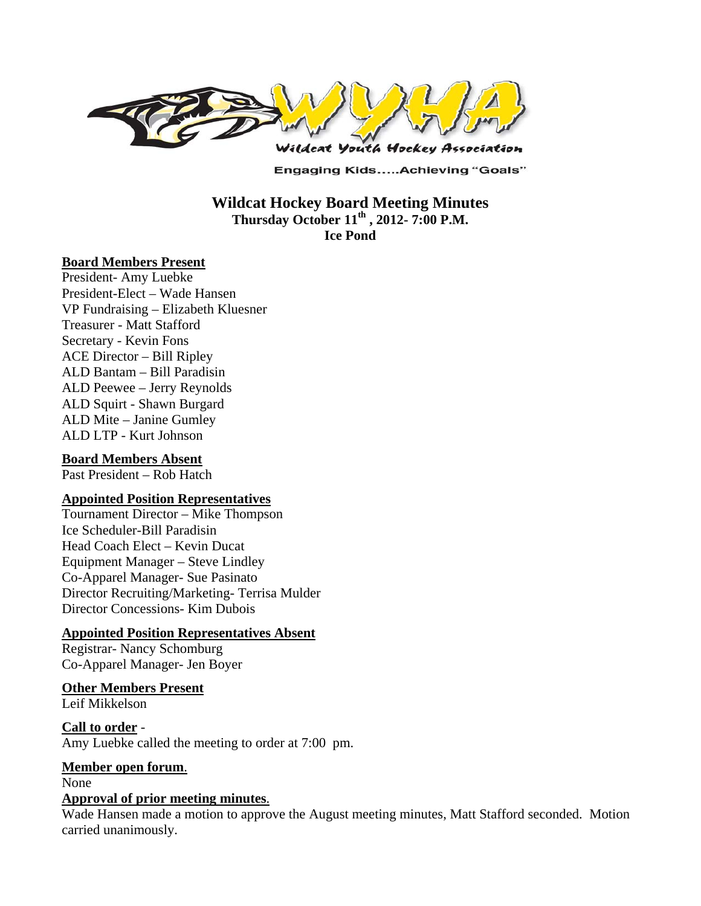

**Engaging Kids.....Achieving "Goals"** 

### **Wildcat Hockey Board Meeting Minutes Thursday October 11th , 2012- 7:00 P.M. Ice Pond**

#### **Board Members Present**

President- Amy Luebke President-Elect – Wade Hansen VP Fundraising – Elizabeth Kluesner Treasurer - Matt Stafford Secretary - Kevin Fons ACE Director – Bill Ripley ALD Bantam – Bill Paradisin ALD Peewee – Jerry Reynolds ALD Squirt - Shawn Burgard ALD Mite – Janine Gumley ALD LTP - Kurt Johnson

#### **Board Members Absent**

Past President – Rob Hatch

#### **Appointed Position Representatives**

Tournament Director – Mike Thompson Ice Scheduler-Bill Paradisin Head Coach Elect – Kevin Ducat Equipment Manager – Steve Lindley Co-Apparel Manager- Sue Pasinato Director Recruiting/Marketing- Terrisa Mulder Director Concessions- Kim Dubois

#### **Appointed Position Representatives Absent**

Registrar- Nancy Schomburg Co-Apparel Manager- Jen Boyer

#### **Other Members Present**

Leif Mikkelson

**Call to order** - Amy Luebke called the meeting to order at 7:00 pm.

#### **Member open forum**.

None

#### **Approval of prior meeting minutes**.

Wade Hansen made a motion to approve the August meeting minutes, Matt Stafford seconded. Motion carried unanimously.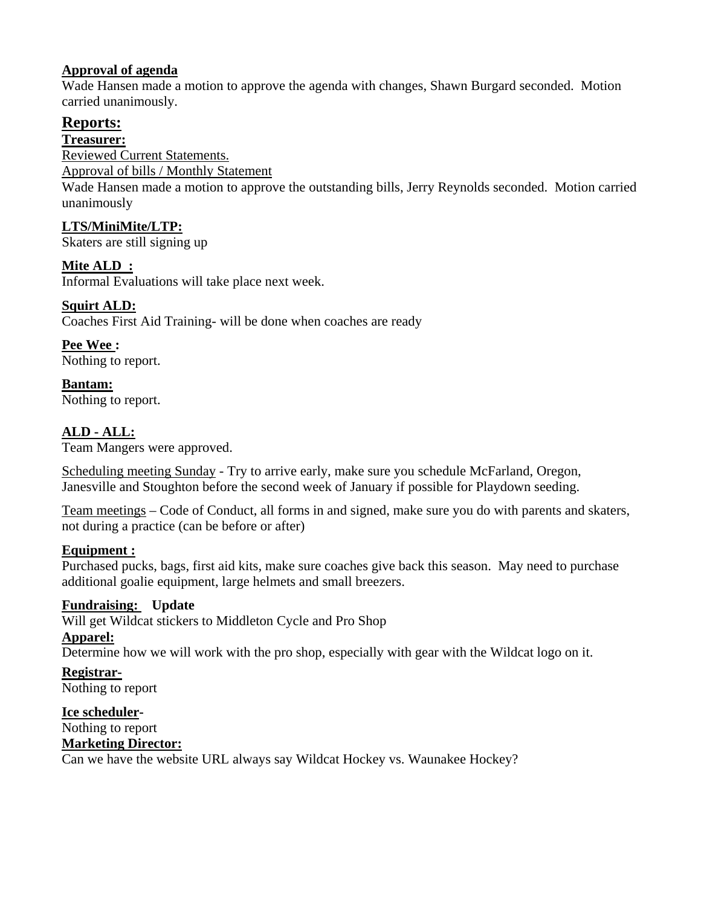# **Approval of agenda**

Wade Hansen made a motion to approve the agenda with changes, Shawn Burgard seconded. Motion carried unanimously.

# **Reports:**

**Treasurer:** 

Reviewed Current Statements.

Approval of bills / Monthly Statement

Wade Hansen made a motion to approve the outstanding bills, Jerry Reynolds seconded. Motion carried unanimously

# **LTS/MiniMite/LTP:**

Skaters are still signing up

# **Mite ALD :**

Informal Evaluations will take place next week.

# **Squirt ALD:**

Coaches First Aid Training- will be done when coaches are ready

**Pee Wee :**  Nothing to report.

**Bantam:**  Nothing to report.

# **ALD - ALL:**

Team Mangers were approved.

Scheduling meeting Sunday - Try to arrive early, make sure you schedule McFarland, Oregon, Janesville and Stoughton before the second week of January if possible for Playdown seeding.

Team meetings – Code of Conduct, all forms in and signed, make sure you do with parents and skaters, not during a practice (can be before or after)

# **Equipment :**

Purchased pucks, bags, first aid kits, make sure coaches give back this season. May need to purchase additional goalie equipment, large helmets and small breezers.

# **Fundraising: Update**

Will get Wildcat stickers to Middleton Cycle and Pro Shop

# **Apparel:**

Determine how we will work with the pro shop, especially with gear with the Wildcat logo on it.

**Registrar-**Nothing to report

**Ice scheduler-**Nothing to report **Marketing Director:**

Can we have the website URL always say Wildcat Hockey vs. Waunakee Hockey?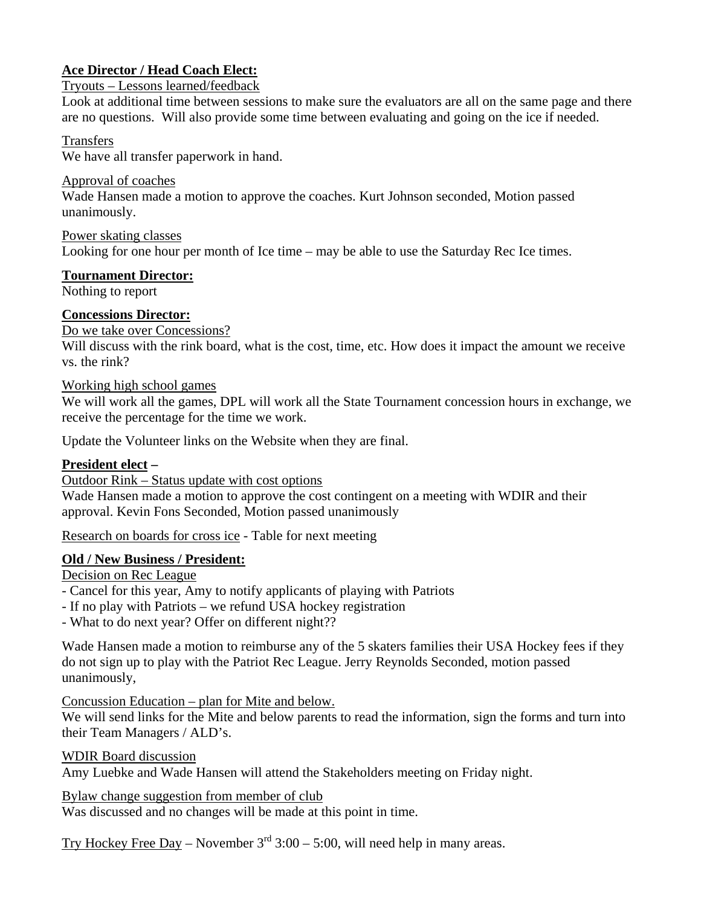# **Ace Director / Head Coach Elect:**

## Tryouts – Lessons learned/feedback

Look at additional time between sessions to make sure the evaluators are all on the same page and there are no questions. Will also provide some time between evaluating and going on the ice if needed.

### Transfers

We have all transfer paperwork in hand.

Approval of coaches

Wade Hansen made a motion to approve the coaches. Kurt Johnson seconded, Motion passed unanimously.

Power skating classes Looking for one hour per month of Ice time – may be able to use the Saturday Rec Ice times.

## **Tournament Director:**

Nothing to report

# **Concessions Director:**

## Do we take over Concessions?

Will discuss with the rink board, what is the cost, time, etc. How does it impact the amount we receive vs. the rink?

## Working high school games

We will work all the games, DPL will work all the State Tournament concession hours in exchange, we receive the percentage for the time we work.

Update the Volunteer links on the Website when they are final.

# **President elect –**

Outdoor Rink – Status update with cost options

Wade Hansen made a motion to approve the cost contingent on a meeting with WDIR and their approval. Kevin Fons Seconded, Motion passed unanimously

Research on boards for cross ice - Table for next meeting

# **Old / New Business / President:**

Decision on Rec League

- Cancel for this year, Amy to notify applicants of playing with Patriots

- If no play with Patriots – we refund USA hockey registration

- What to do next year? Offer on different night??

Wade Hansen made a motion to reimburse any of the 5 skaters families their USA Hockey fees if they do not sign up to play with the Patriot Rec League. Jerry Reynolds Seconded, motion passed unanimously,

Concussion Education – plan for Mite and below.

We will send links for the Mite and below parents to read the information, sign the forms and turn into their Team Managers / ALD's.

WDIR Board discussion

Amy Luebke and Wade Hansen will attend the Stakeholders meeting on Friday night.

#### Bylaw change suggestion from member of club

Was discussed and no changes will be made at this point in time.

Try Hockey Free Day – November  $3<sup>rd</sup> 3:00 - 5:00$ , will need help in many areas.